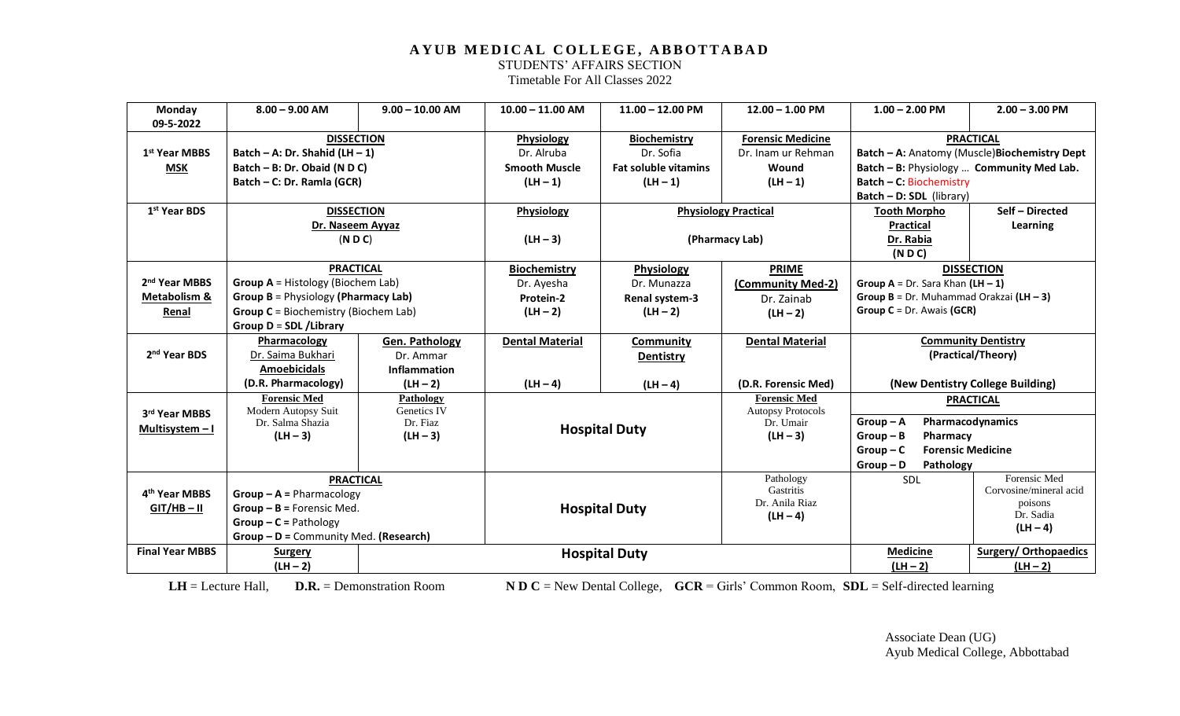STUDENTS' AFFAIRS SECTION

Timetable For All Classes 2022

| Monday                    | $8.00 - 9.00$ AM                            | $9.00 - 10.00$ AM   | $10.00 - 11.00$ AM     | $11.00 - 12.00$ PM          | $12.00 - 1.00$ PM             | $1.00 - 2.00$ PM                           | $2.00 - 3.00$ PM                              |
|---------------------------|---------------------------------------------|---------------------|------------------------|-----------------------------|-------------------------------|--------------------------------------------|-----------------------------------------------|
| 09-5-2022                 |                                             |                     |                        |                             |                               |                                            |                                               |
|                           | <b>DISSECTION</b>                           |                     | Physiology             | <b>Biochemistry</b>         | <b>Forensic Medicine</b>      |                                            | <b>PRACTICAL</b>                              |
| 1st Year MBBS             | Batch - A: Dr. Shahid (LH - 1)              |                     | Dr. Alruba             | Dr. Sofia                   | Dr. Inam ur Rehman            |                                            | Batch - A: Anatomy (Muscle) Biochemistry Dept |
| <b>MSK</b>                | Batch - B: Dr. Obaid (N D C)                |                     | <b>Smooth Muscle</b>   | <b>Fat soluble vitamins</b> | Wound                         | Batch - B: Physiology  Community Med Lab.  |                                               |
|                           | Batch - C: Dr. Ramla (GCR)                  |                     | $(LH - 1)$             | $(LH - 1)$                  | $(LH - 1)$                    | Batch - C: Biochemistry                    |                                               |
|                           |                                             |                     |                        |                             |                               | <b>Batch - D: SDL</b> (library)            |                                               |
| 1 <sup>st</sup> Year BDS  | <b>DISSECTION</b>                           |                     | Physiology             |                             | <b>Physiology Practical</b>   | <b>Tooth Morpho</b>                        | Self - Directed                               |
|                           | Dr. Naseem Ayyaz                            |                     |                        |                             |                               | <b>Practical</b>                           | Learning                                      |
|                           | ( N D C)                                    |                     | $(LH - 3)$             |                             | (Pharmacy Lab)                | Dr. Rabia                                  |                                               |
|                           |                                             |                     |                        |                             |                               | (NDC)                                      |                                               |
|                           | <b>PRACTICAL</b>                            |                     | <b>Biochemistry</b>    | <b>Physiology</b>           | <b>PRIME</b>                  |                                            | <b>DISSECTION</b>                             |
| 2 <sup>nd</sup> Year MBBS | <b>Group A</b> = Histology (Biochem Lab)    |                     | Dr. Ayesha             | Dr. Munazza                 | (Community Med-2)             | Group $A = Dr.$ Sara Khan $(LH - 1)$       |                                               |
| <b>Metabolism &amp;</b>   | <b>Group B</b> = Physiology (Pharmacy Lab)  |                     | Protein-2              | <b>Renal system-3</b>       | Dr. Zainab                    | Group $B = Dr$ . Muhammad Orakzai (LH - 3) |                                               |
| Renal                     | <b>Group C</b> = Biochemistry (Biochem Lab) |                     | $(LH - 2)$             | $(LH - 2)$                  | $(LH - 2)$                    | Group $C = Dr.$ Awais (GCR)                |                                               |
|                           | Group D = SDL / Library                     |                     |                        |                             |                               |                                            |                                               |
|                           | Pharmacology                                | Gen. Pathology      | <b>Dental Material</b> | Community                   | <b>Dental Material</b>        |                                            | <b>Community Dentistry</b>                    |
| 2 <sup>nd</sup> Year BDS  | Dr. Saima Bukhari                           | Dr. Ammar           |                        | Dentistry                   |                               |                                            | (Practical/Theory)                            |
|                           | <b>Amoebicidals</b>                         | <b>Inflammation</b> |                        |                             |                               |                                            |                                               |
|                           | (D.R. Pharmacology)                         | $(LH - 2)$          | $(LH - 4)$             | $(LH - 4)$                  | (D.R. Forensic Med)           | (New Dentistry College Building)           |                                               |
|                           | <b>Forensic Med</b>                         | <b>Pathology</b>    |                        |                             | <b>Forensic Med</b>           | <b>PRACTICAL</b>                           |                                               |
| 3rd Year MBBS             | Modern Autopsy Suit                         | Genetics IV         |                        |                             | <b>Autopsy Protocols</b>      |                                            |                                               |
| Multisystem - I           | Dr. Salma Shazia                            | Dr. Fiaz            |                        | <b>Hospital Duty</b>        | Dr. Umair                     | $Group - A$                                | Pharmacodynamics                              |
|                           | $(LH - 3)$                                  | $(LH - 3)$          |                        |                             | $(LH - 3)$                    | $Group - B$<br>Pharmacy                    |                                               |
|                           |                                             |                     |                        |                             |                               | $Group-C$<br><b>Forensic Medicine</b>      |                                               |
|                           |                                             |                     |                        |                             |                               | $Group - D$<br>Pathology                   |                                               |
|                           | <b>PRACTICAL</b>                            |                     |                        |                             | Pathology<br><b>Gastritis</b> | <b>SDL</b>                                 | Forensic Med<br>Corvosine/mineral acid        |
| 4 <sup>th</sup> Year MBBS | $Group - A = Pharmacology$                  |                     |                        |                             | Dr. Anila Riaz                |                                            | poisons                                       |
| $GIT/HB - II$             | $Group - B = Forensic Med.$                 |                     | <b>Hospital Duty</b>   |                             | $(LH - 4)$                    |                                            | Dr. Sadia                                     |
|                           | $Group - C = Pathology$                     |                     |                        |                             |                               |                                            | $(LH - 4)$                                    |
|                           | Group - D = Community Med. (Research)       |                     |                        |                             |                               |                                            |                                               |
| <b>Final Year MBBS</b>    | <b>Surgery</b>                              |                     |                        | <b>Hospital Duty</b>        |                               | <b>Medicine</b>                            | <b>Surgery/ Orthopaedics</b>                  |
|                           | $(LH - 2)$                                  |                     |                        |                             |                               | $(LH - 2)$                                 | $(LH - 2)$                                    |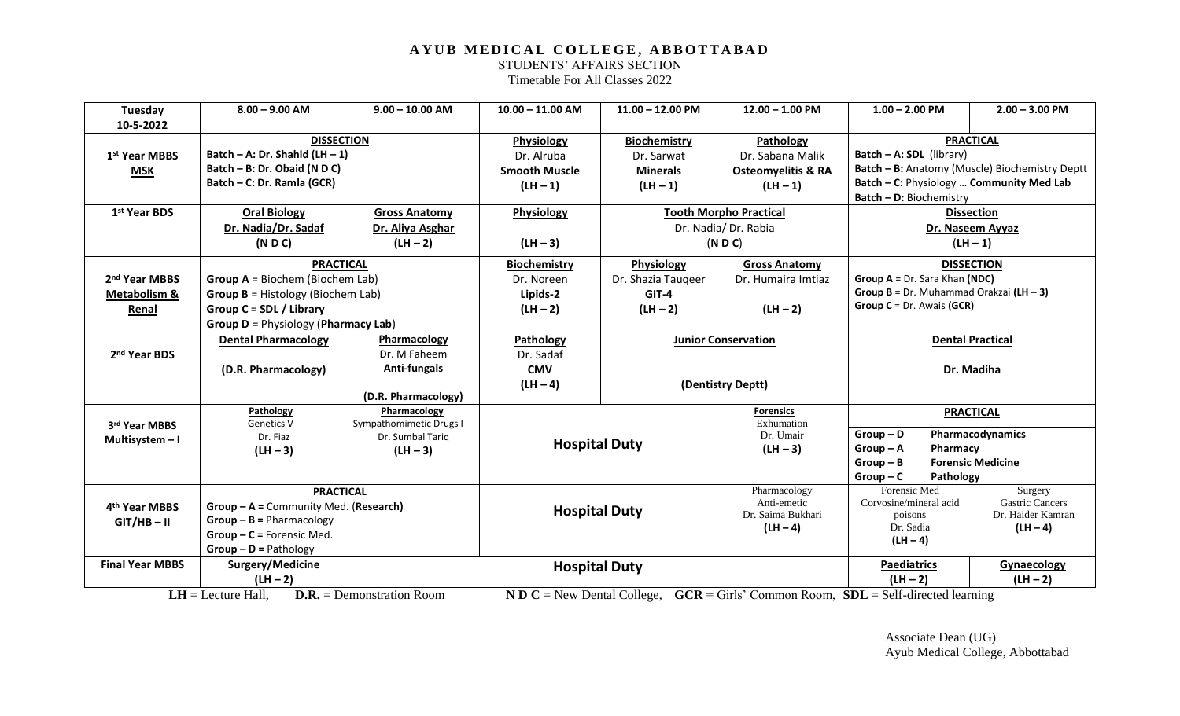STUDENTS' AFFAIRS SECTION

Timetable For All Classes 2022

| Tuesday                   | $8.00 - 9.00$ AM                           | $9.00 - 10.00$ AM                                                 | $10.00 - 11.00$ AM   | $11.00 - 12.00$ PM         | $12.00 - 1.00$ PM                                                                                                                       | $1.00 - 2.00$ PM                                 | $2.00 - 3.00$ PM                               |
|---------------------------|--------------------------------------------|-------------------------------------------------------------------|----------------------|----------------------------|-----------------------------------------------------------------------------------------------------------------------------------------|--------------------------------------------------|------------------------------------------------|
| 10-5-2022                 |                                            |                                                                   |                      |                            |                                                                                                                                         |                                                  |                                                |
|                           | <b>DISSECTION</b>                          |                                                                   | Physiology           | <b>Biochemistry</b>        |                                                                                                                                         | <b>PRACTICAL</b><br>Pathology                    |                                                |
| 1 <sup>st</sup> Year MBBS | Batch - A: Dr. Shahid (LH $-1$ )           |                                                                   | Dr. Alruba           | Dr. Sarwat                 | Dr. Sabana Malik                                                                                                                        | Batch - A: SDL (library)                         |                                                |
| <b>MSK</b>                | Batch - B: Dr. Obaid (N D C)               |                                                                   | <b>Smooth Muscle</b> | <b>Minerals</b>            | <b>Osteomyelitis &amp; RA</b>                                                                                                           |                                                  | Batch - B: Anatomy (Muscle) Biochemistry Deptt |
|                           | Batch - C: Dr. Ramla (GCR)                 |                                                                   | $(LH - 1)$           | $(LH - 1)$                 | $(LH - 1)$                                                                                                                              | Batch - C: Physiology  Community Med Lab         |                                                |
|                           |                                            |                                                                   |                      |                            |                                                                                                                                         | Batch - D: Biochemistry                          |                                                |
| 1st Year BDS              | <b>Oral Biology</b>                        | <b>Gross Anatomy</b>                                              | Physiology           |                            | <b>Tooth Morpho Practical</b>                                                                                                           |                                                  | <b>Dissection</b>                              |
|                           | Dr. Nadia/Dr. Sadaf                        | Dr. Aliya Asghar                                                  |                      |                            | Dr. Nadia/Dr. Rabia                                                                                                                     |                                                  | Dr. Naseem Ayyaz                               |
|                           | ( N D C)                                   | $(LH - 2)$                                                        | $(LH - 3)$           |                            | ( N D C)                                                                                                                                |                                                  | $(LH - 1)$                                     |
|                           | <b>PRACTICAL</b>                           |                                                                   | <b>Biochemistry</b>  | Physiology                 | <b>Gross Anatomy</b>                                                                                                                    |                                                  | <b>DISSECTION</b>                              |
| 2 <sup>nd</sup> Year MBBS | Group $A = Biochem$ (Biochem Lab)          |                                                                   | Dr. Noreen           | Dr. Shazia Taugeer         | Dr. Humaira Imtiaz                                                                                                                      | Group A = Dr. Sara Khan (NDC)                    |                                                |
| <b>Metabolism &amp;</b>   | Group $B = Histology$ (Biochem Lab)        |                                                                   | Lipids-2             | $GIT-4$                    |                                                                                                                                         | Group $B = Dr$ . Muhammad Orakzai (LH - 3)       |                                                |
| Renal                     | Group C = SDL / Library                    |                                                                   | $(LH - 2)$           | $(LH - 2)$                 | $(LH - 2)$                                                                                                                              | Group $C = Dr$ . Awais (GCR)                     |                                                |
|                           | <b>Group D</b> = Physiology (Pharmacy Lab) |                                                                   |                      |                            |                                                                                                                                         |                                                  |                                                |
|                           | <b>Dental Pharmacology</b>                 | Pharmacology                                                      | Pathology            | <b>Junior Conservation</b> |                                                                                                                                         | <b>Dental Practical</b>                          |                                                |
| 2 <sup>nd</sup> Year BDS  |                                            | Dr. M Faheem                                                      | Dr. Sadaf            |                            |                                                                                                                                         |                                                  |                                                |
|                           | (D.R. Pharmacology)                        | Anti-fungals                                                      | <b>CMV</b>           |                            |                                                                                                                                         |                                                  | Dr. Madiha                                     |
|                           |                                            |                                                                   | $(LH - 4)$           |                            | (Dentistry Deptt)                                                                                                                       |                                                  |                                                |
|                           |                                            | (D.R. Pharmacology)                                               |                      |                            |                                                                                                                                         |                                                  |                                                |
|                           | Pathology<br><b>Genetics V</b>             | Pharmacology<br>Sympathomimetic Drugs I                           |                      |                            | <b>Forensics</b><br>Exhumation                                                                                                          | <b>PRACTICAL</b>                                 |                                                |
| 3rd Year MBBS             | Dr. Fiaz                                   | Dr. Sumbal Tariq                                                  |                      |                            | Dr. Umair                                                                                                                               | $Group - D$                                      | Pharmacodynamics                               |
| Multisystem - I           | $(LH - 3)$                                 | $(LH - 3)$                                                        | <b>Hospital Duty</b> |                            | $(LH - 3)$                                                                                                                              | $Group-A$<br>Pharmacy                            |                                                |
|                           |                                            |                                                                   |                      |                            |                                                                                                                                         | $Group - B$                                      | <b>Forensic Medicine</b>                       |
|                           |                                            |                                                                   |                      |                            |                                                                                                                                         | $Group-C$<br>Pathology                           |                                                |
|                           | <b>PRACTICAL</b>                           |                                                                   |                      |                            | Pharmacology                                                                                                                            | Forensic Med                                     | Surgery                                        |
| 4 <sup>th</sup> Year MBBS | Group - A = Community Med. (Research)      |                                                                   |                      |                            | Anti-emetic                                                                                                                             | <b>Gastric Cancers</b><br>Corvosine/mineral acid |                                                |
| $GIT/HB - II$             | $Group - B = Pharmacology$                 |                                                                   | <b>Hospital Duty</b> |                            | Dr. Saima Bukhari                                                                                                                       | poisons                                          | Dr. Haider Kamran                              |
|                           | $Group - C = Forensic Med.$                |                                                                   |                      |                            | $(LH - 4)$                                                                                                                              | Dr. Sadia                                        | $(LH - 4)$                                     |
|                           | $Group - D = Pathology$                    |                                                                   |                      |                            |                                                                                                                                         | $(LH - 4)$                                       |                                                |
| <b>Final Year MBBS</b>    | Surgery/Medicine                           | <b>Hospital Duty</b>                                              |                      |                            |                                                                                                                                         | <b>Paediatrics</b><br>Gynaecology                |                                                |
|                           | $(LH - 2)$                                 |                                                                   |                      |                            |                                                                                                                                         | $(LH - 2)$                                       | $(LH - 2)$                                     |
|                           | $I \mathbf{H} = I$ octure $II_0$           | $\mathbf{D} \mathbf{D}$ = Domonstration $\mathbf{D}_{\text{com}}$ |                      |                            | $\bf{N} \bf{D} \bf{C}$ – New Deptel College $\bf{C} \bf{C} \bf{D}$ – Girls' Common Deem $\bf{R} \bf{D} \bf{I}$ – Self-directed learning |                                                  |                                                |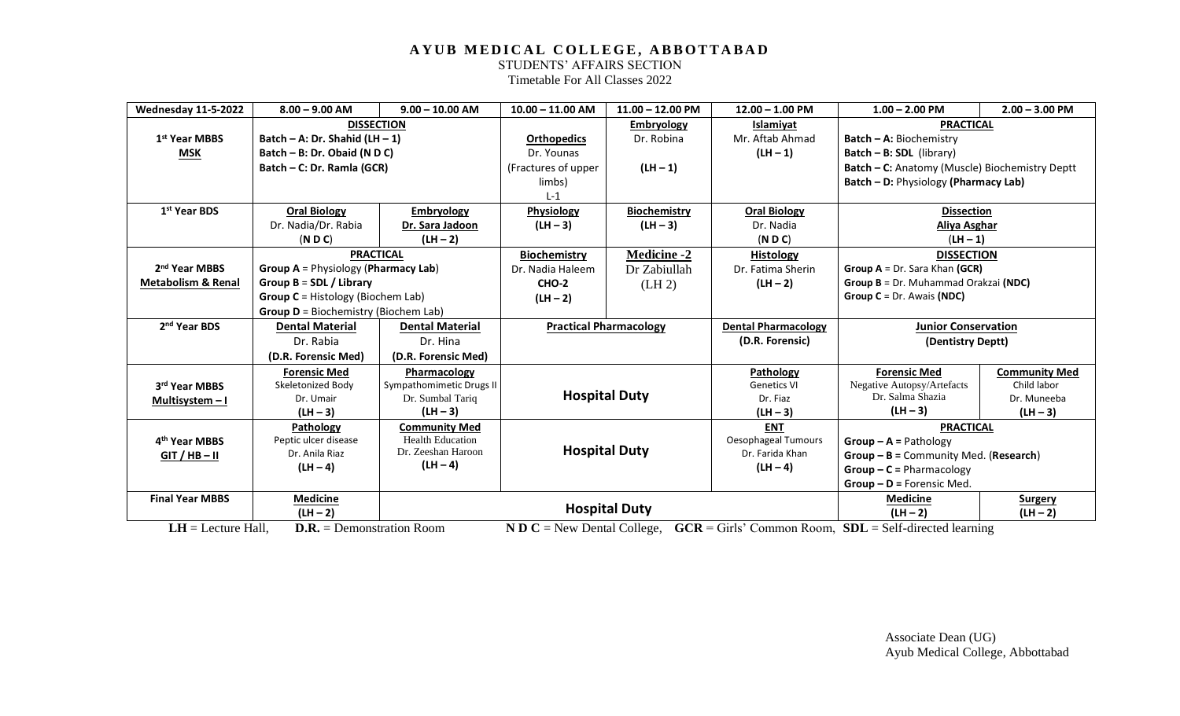STUDENTS' AFFAIRS SECTION

Timetable For All Classes 2022

| <b>Wednesday 11-5-2022</b>    | $8.00 - 9.00$ AM                               | $9.00 - 10.00$ AM                      | $10.00 - 11.00$ AM                                                                 | $11.00 - 12.00$ PM   | $12.00 - 1.00$ PM          | $1.00 - 2.00$ PM                                                                                                                | $2.00 - 3.00$ PM     |
|-------------------------------|------------------------------------------------|----------------------------------------|------------------------------------------------------------------------------------|----------------------|----------------------------|---------------------------------------------------------------------------------------------------------------------------------|----------------------|
|                               |                                                | <b>DISSECTION</b>                      |                                                                                    | <b>Embryology</b>    | Islamiyat                  | <b>PRACTICAL</b>                                                                                                                |                      |
| 1 <sup>st</sup> Year MBBS     | Batch - A: Dr. Shahid (LH - 1)                 |                                        | <b>Orthopedics</b>                                                                 | Dr. Robina           | Mr. Aftab Ahmad            | <b>Batch - A: Biochemistry</b>                                                                                                  |                      |
| <b>MSK</b>                    | Batch - B: Dr. Obaid (N D C)                   |                                        | Dr. Younas                                                                         |                      | $(LH - 1)$                 | Batch $- B$ : SDL (library)                                                                                                     |                      |
|                               | Batch – C: Dr. Ramla (GCR)                     |                                        | (Fractures of upper                                                                | $(LH - 1)$           |                            | Batch - C: Anatomy (Muscle) Biochemistry Deptt                                                                                  |                      |
|                               |                                                |                                        | limbs)                                                                             |                      |                            | Batch - D: Physiology (Pharmacy Lab)                                                                                            |                      |
|                               |                                                |                                        | $L-1$                                                                              |                      |                            |                                                                                                                                 |                      |
| 1 <sup>st</sup> Year BDS      | <b>Oral Biology</b>                            | <b>Embryology</b>                      | Physiology                                                                         | <b>Biochemistry</b>  | <b>Oral Biology</b>        | <b>Dissection</b>                                                                                                               |                      |
|                               | Dr. Nadia/Dr. Rabia                            | Dr. Sara Jadoon                        | $(LH - 3)$                                                                         | $(LH - 3)$           | Dr. Nadia                  | Aliya Asghar                                                                                                                    |                      |
|                               | ( N D C)                                       | $(LH - 2)$                             |                                                                                    |                      | ( N D C)                   | $(LH - 1)$                                                                                                                      |                      |
|                               | <b>PRACTICAL</b>                               |                                        | <b>Biochemistry</b>                                                                | <b>Medicine -2</b>   | <b>Histology</b>           | <b>DISSECTION</b>                                                                                                               |                      |
| 2 <sup>nd</sup> Year MBBS     | <b>Group A</b> = Physiology (Pharmacy Lab)     |                                        | Dr. Nadia Haleem                                                                   | Dr Zabiullah         | Dr. Fatima Sherin          | Group A = Dr. Sara Khan (GCR)                                                                                                   |                      |
| <b>Metabolism &amp; Renal</b> | Group $B = SDL / Library$                      |                                        | CHO-2                                                                              | (LH <sub>2</sub> )   | $(LH - 2)$                 | Group B = Dr. Muhammad Orakzai (NDC)                                                                                            |                      |
|                               | <b>Group C</b> = Histology (Biochem Lab)       |                                        | $(LH - 2)$                                                                         |                      |                            | Group $C = Dr.$ Awais (NDC)                                                                                                     |                      |
|                               | <b>Group D</b> = Biochemistry (Biochem Lab)    |                                        |                                                                                    |                      |                            |                                                                                                                                 |                      |
| 2 <sup>nd</sup> Year BDS      | <b>Dental Material</b>                         | <b>Dental Material</b>                 | <b>Practical Pharmacology</b>                                                      |                      | <b>Dental Pharmacology</b> | <b>Junior Conservation</b>                                                                                                      |                      |
|                               | Dr. Rabia                                      | Dr. Hina                               |                                                                                    |                      | (D.R. Forensic)            | (Dentistry Deptt)                                                                                                               |                      |
|                               | (D.R. Forensic Med)                            | (D.R. Forensic Med)                    |                                                                                    |                      |                            |                                                                                                                                 |                      |
|                               | <b>Forensic Med</b>                            | Pharmacology                           |                                                                                    |                      | Pathology                  | <b>Forensic Med</b>                                                                                                             | <b>Community Med</b> |
| 3rd Year MBBS                 | Skeletonized Body                              | Sympathomimetic Drugs II               |                                                                                    |                      | <b>Genetics VI</b>         | Negative Autopsy/Artefacts                                                                                                      | Child labor          |
| Multisystem $-1$              | Dr. Umair                                      | Dr. Sumbal Tariq                       |                                                                                    | <b>Hospital Duty</b> | Dr. Fiaz                   | Dr. Salma Shazia                                                                                                                | Dr. Muneeba          |
|                               | $(LH - 3)$                                     | $(LH - 3)$                             |                                                                                    |                      | $(LH - 3)$                 | $(LH - 3)$                                                                                                                      | $(LH-3)$             |
|                               | Pathology                                      | <b>Community Med</b>                   |                                                                                    |                      | <b>ENT</b>                 | <b>PRACTICAL</b>                                                                                                                |                      |
| 4 <sup>th</sup> Year MBBS     | Peptic ulcer disease                           | <b>Health Education</b>                |                                                                                    |                      | Oesophageal Tumours        | $Group - A = Pathology$                                                                                                         |                      |
| $GIT / HB - II$               | Dr. Anila Riaz                                 | Dr. Zeeshan Haroon                     | <b>Hospital Duty</b>                                                               |                      | Dr. Farida Khan            | $Group - B = Community Med. (Research)$                                                                                         |                      |
|                               | $(LH - 4)$                                     | $(LH - 4)$                             |                                                                                    |                      | $(LH - 4)$                 | $Group - C = Pharmacology$                                                                                                      |                      |
|                               |                                                |                                        |                                                                                    |                      |                            | $Group - D = Forensic Med.$                                                                                                     |                      |
| <b>Final Year MBBS</b>        | <b>Medicine</b>                                |                                        | <b>Hospital Duty</b>                                                               |                      |                            | <b>Medicine</b>                                                                                                                 | <b>Surgery</b>       |
| <b>TTT</b> T                  | $(LH - 2)$<br>$TT-11$<br>$\mathbf n \mathbf n$ | $\mathbf{r}$ $\mathbf{r}$ $\mathbf{r}$ | $\mathbf{M} \mathbf{D} \mathbf{A}$ $\mathbf{M} \mathbf{D}$ $\mathbf{M} \mathbf{A}$ | $\alpha$ $\alpha$    | $\sim$ 1 $\sim$            | $(LH - 2)$<br>$C\mathbf{D}\mathbf{Y} = \mathbf{C} \mathbf{1} \mathbf{C} \mathbf{1} \mathbf{C} \mathbf{1} \mathbf{1} \mathbf{1}$ | $(LH - 2)$           |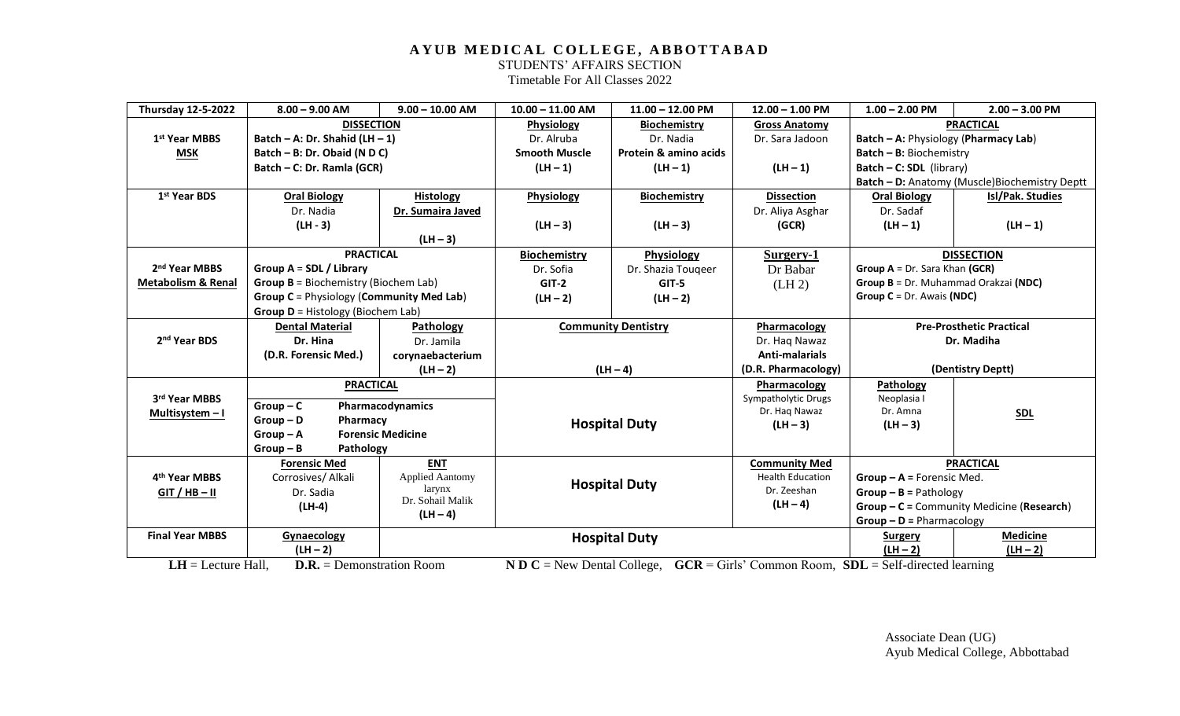STUDENTS' AFFAIRS SECTION

Timetable For All Classes 2022

| <b>Thursday 12-5-2022</b>     | $8.00 - 9.00$ AM                            | $9.00 - 10.00$ AM                               | $10.00 - 11.00$ AM                                                                   | $11.00 - 12.00$ PM         | $12.00 - 1.00$ PM                                      | $1.00 - 2.00$ PM                        | $2.00 - 3.00$ PM                               |
|-------------------------------|---------------------------------------------|-------------------------------------------------|--------------------------------------------------------------------------------------|----------------------------|--------------------------------------------------------|-----------------------------------------|------------------------------------------------|
|                               | <b>DISSECTION</b>                           |                                                 | <b>Physiology</b>                                                                    | <b>Biochemistry</b>        | <b>Gross Anatomy</b>                                   |                                         | <b>PRACTICAL</b>                               |
| 1 <sup>st</sup> Year MBBS     | Batch – A: Dr. Shahid (LH – 1)              |                                                 | Dr. Alruba                                                                           | Dr. Nadia                  | Dr. Sara Jadoon                                        | Batch - A: Physiology (Pharmacy Lab)    |                                                |
| <b>MSK</b>                    | Batch - B: Dr. Obaid (N D C)                |                                                 | <b>Smooth Muscle</b>                                                                 | Protein & amino acids      |                                                        | Batch - B: Biochemistry                 |                                                |
|                               | Batch - C: Dr. Ramla (GCR)                  |                                                 | $(LH - 1)$                                                                           | $(LH - 1)$                 | $(LH - 1)$                                             | Batch - C: SDL (library)                |                                                |
|                               |                                             |                                                 |                                                                                      |                            |                                                        |                                         | Batch - D: Anatomy (Muscle) Biochemistry Deptt |
| 1 <sup>st</sup> Year BDS      | <b>Oral Biology</b>                         | <b>Histology</b>                                | Physiology                                                                           | <b>Biochemistry</b>        | <b>Dissection</b>                                      | <b>Oral Biology</b>                     | Isl/Pak. Studies                               |
|                               | Dr. Nadia                                   | Dr. Sumaira Javed                               |                                                                                      |                            | Dr. Aliya Asghar                                       | Dr. Sadaf                               |                                                |
|                               | $(LH - 3)$                                  |                                                 | $(LH - 3)$                                                                           | $(LH - 3)$                 | (GCR)                                                  | $(LH - 1)$                              | $(LH - 1)$                                     |
|                               |                                             | $(LH - 3)$                                      |                                                                                      |                            |                                                        |                                         |                                                |
|                               | <b>PRACTICAL</b>                            |                                                 | <b>Biochemistry</b>                                                                  | Physiology                 | Surgery-1                                              |                                         | <b>DISSECTION</b>                              |
| 2 <sup>nd</sup> Year MBBS     | Group $A = SDL / Library$                   |                                                 | Dr. Sofia                                                                            | Dr. Shazia Tougeer         | Dr Babar                                               | Group $A = Dr$ . Sara Khan (GCR)        |                                                |
| <b>Metabolism &amp; Renal</b> | <b>Group B</b> = Biochemistry (Biochem Lab) |                                                 | $GIT-2$                                                                              | $GIT-5$                    | (LH <sub>2</sub> )                                     | Group B = Dr. Muhammad Orakzai (NDC)    |                                                |
|                               |                                             | <b>Group C</b> = Physiology (Community Med Lab) |                                                                                      | $(LH - 2)$                 |                                                        | Group $C = Dr.$ Awais (NDC)             |                                                |
|                               | <b>Group D</b> = Histology (Biochem Lab)    |                                                 |                                                                                      |                            |                                                        |                                         |                                                |
|                               | <b>Dental Material</b>                      | Pathology                                       |                                                                                      | <b>Community Dentistry</b> | Pharmacology                                           | <b>Pre-Prosthetic Practical</b>         |                                                |
| 2 <sup>nd</sup> Year BDS      | Dr. Hina                                    | Dr. Jamila                                      |                                                                                      |                            | Dr. Haq Nawaz                                          | Dr. Madiha                              |                                                |
|                               | (D.R. Forensic Med.)                        | corynaebacterium                                |                                                                                      |                            | Anti-malarials                                         |                                         |                                                |
|                               |                                             | $(LH - 2)$                                      | $(LH - 4)$                                                                           |                            | (D.R. Pharmacology)                                    | (Dentistry Deptt)                       |                                                |
|                               | <b>PRACTICAL</b>                            |                                                 |                                                                                      | Pharmacology               | Pathology                                              |                                         |                                                |
| 3rd Year MBBS                 | $Group-C$                                   | Pharmacodynamics                                |                                                                                      |                            | Sympatholytic Drugs                                    | Neoplasia I                             |                                                |
| Multisystem $-1$              | $Group - D$<br>Pharmacy                     |                                                 |                                                                                      |                            | Dr. Haq Nawaz<br>$(LH - 3)$                            | Dr. Amna                                | <u>SDL</u>                                     |
|                               | $Group - A$                                 | <b>Forensic Medicine</b>                        |                                                                                      | <b>Hospital Duty</b>       |                                                        | $(LH - 3)$                              |                                                |
|                               | $Group - B$                                 | Pathology                                       |                                                                                      |                            |                                                        |                                         |                                                |
|                               | <b>Forensic Med</b>                         | <b>ENT</b>                                      |                                                                                      |                            | <b>Community Med</b>                                   |                                         | <b>PRACTICAL</b>                               |
| 4 <sup>th</sup> Year MBBS     | Corrosives/ Alkali                          | <b>Applied Aantomy</b>                          | <b>Hospital Duty</b>                                                                 |                            | <b>Health Education</b><br>$Group - A = Forensic Med.$ |                                         |                                                |
| $GIT / HB - II$               | Dr. Sadia                                   | larynx                                          |                                                                                      |                            | Dr. Zeeshan                                            | $Group - B = Pathology$                 |                                                |
|                               | Dr. Sohail Malik<br>$(LH-4)$                |                                                 |                                                                                      |                            | $(LH - 4)$                                             |                                         | Group - C = Community Medicine (Research)      |
|                               |                                             | $(LH - 4)$                                      |                                                                                      |                            |                                                        | $Group - D = Pharmacology$              |                                                |
| <b>Final Year MBBS</b>        | Gynaecology                                 |                                                 | <b>Hospital Duty</b>                                                                 |                            |                                                        | <b>Surgery</b>                          | <b>Medicine</b>                                |
|                               | $(LH - 2)$                                  |                                                 | $\mathbf{M} \mathbf{D} \mathbf{A}$ $\mathbf{M} \mathbf{D}$ $\mathbf{A}$ $\mathbf{D}$ |                            | $\sim$ 1, $\sim$                                       | $(LH - 2)$<br>$CDT = 0.10.11 \pm 11.11$ | $(LH - 2)$                                     |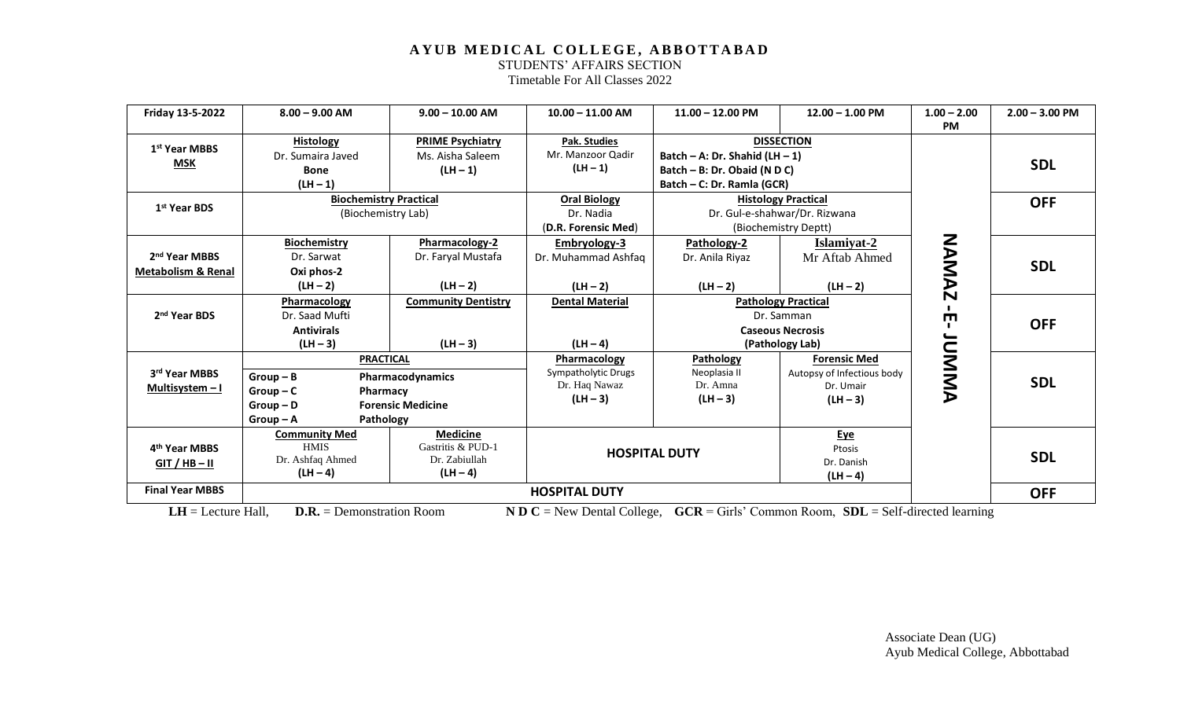STUDENTS' AFFAIRS SECTION

Timetable For All Classes 2022

| Friday 13-5-2022                                           | $8.00 - 9.00$ AM                                                                                  | $9.00 - 10.00$ AM                                                   | $10.00 - 11.00$ AM                                                 | $11.00 - 12.00$ PM                                                                             | $12.00 - 1.00$ PM                                                                      | $1.00 - 2.00$<br><b>PM</b> | $2.00 - 3.00$ PM |
|------------------------------------------------------------|---------------------------------------------------------------------------------------------------|---------------------------------------------------------------------|--------------------------------------------------------------------|------------------------------------------------------------------------------------------------|----------------------------------------------------------------------------------------|----------------------------|------------------|
| 1 <sup>st</sup> Year MBBS<br><b>MSK</b>                    | <b>Histology</b><br>Dr. Sumaira Javed<br><b>Bone</b>                                              | <b>PRIME Psychiatry</b><br>Ms. Aisha Saleem<br>$(LH - 1)$           | Pak. Studies<br>Mr. Manzoor Qadir<br>$(LH - 1)$                    | Batch - A: Dr. Shahid $(LH - 1)$<br>Batch - B: Dr. Obaid (N D C)<br>Batch - C: Dr. Ramla (GCR) | <b>DISSECTION</b>                                                                      |                            | <b>SDL</b>       |
| 1 <sup>st</sup> Year BDS                                   | $(LH - 1)$<br><b>Biochemistry Practical</b><br>(Biochemistry Lab)                                 |                                                                     | <b>Oral Biology</b><br>Dr. Nadia<br>(D.R. Forensic Med)            | <b>Histology Practical</b><br>Dr. Gul-e-shahwar/Dr. Rizwana<br>(Biochemistry Deptt)            |                                                                                        |                            | <b>OFF</b>       |
| 2 <sup>nd</sup> Year MBBS<br><b>Metabolism &amp; Renal</b> | <b>Biochemistry</b><br>Dr. Sarwat<br>Oxi phos-2<br>$(LH - 2)$                                     | Pharmacology-2<br>Dr. Faryal Mustafa<br>$(LH - 2)$                  | Embryology-3<br>Dr. Muhammad Ashfaq<br>$(LH - 2)$                  | Pathology-2<br>Dr. Anila Riyaz<br>$(LH - 2)$                                                   | Islamiyat-2<br>Mr Aftab Ahmed<br>$(LH - 2)$                                            | <b>NAMAZ</b>               | <b>SDL</b>       |
| 2 <sup>nd</sup> Year BDS                                   | Pharmacology<br>Dr. Saad Mufti<br><b>Antivirals</b><br>$(LH - 3)$                                 | <b>Community Dentistry</b><br>$(LH - 3)$                            | <b>Dental Material</b><br>$(LH - 4)$                               |                                                                                                | <b>Pathology Practical</b><br>Dr. Samman<br><b>Caseous Necrosis</b><br>(Pathology Lab) | Ţ                          | <b>OFF</b>       |
| 3rd Year MBBS<br>Multisystem $-1$                          | <b>PRACTICAL</b><br>$Group - B$<br>$Group-C$<br>Pharmacy<br>$Group - D$<br>Pathology<br>$Group-A$ | Pharmacodynamics<br><b>Forensic Medicine</b>                        | Pharmacology<br>Sympatholytic Drugs<br>Dr. Haq Nawaz<br>$(LH - 3)$ | Pathology<br>Neoplasia II<br>Dr. Amna<br>$(LH - 3)$                                            | <b>Forensic Med</b><br>Autopsy of Infectious body<br>Dr. Umair<br>$(LH - 3)$           | <b>NNMADI</b>              | <b>SDL</b>       |
| 4 <sup>th</sup> Year MBBS<br>$GIT / HB - II$               | <b>Community Med</b><br><b>HMIS</b><br>Dr. Ashfaq Ahmed<br>$(LH - 4)$                             | <b>Medicine</b><br>Gastritis & PUD-1<br>Dr. Zabiullah<br>$(LH - 4)$ |                                                                    | <b>HOSPITAL DUTY</b>                                                                           | <u>Eye</u><br>Ptosis<br>Dr. Danish<br>$(LH - 4)$                                       |                            | <b>SDL</b>       |
| <b>Final Year MBBS</b>                                     |                                                                                                   |                                                                     | <b>HOSPITAL DUTY</b>                                               |                                                                                                |                                                                                        |                            | <b>OFF</b>       |